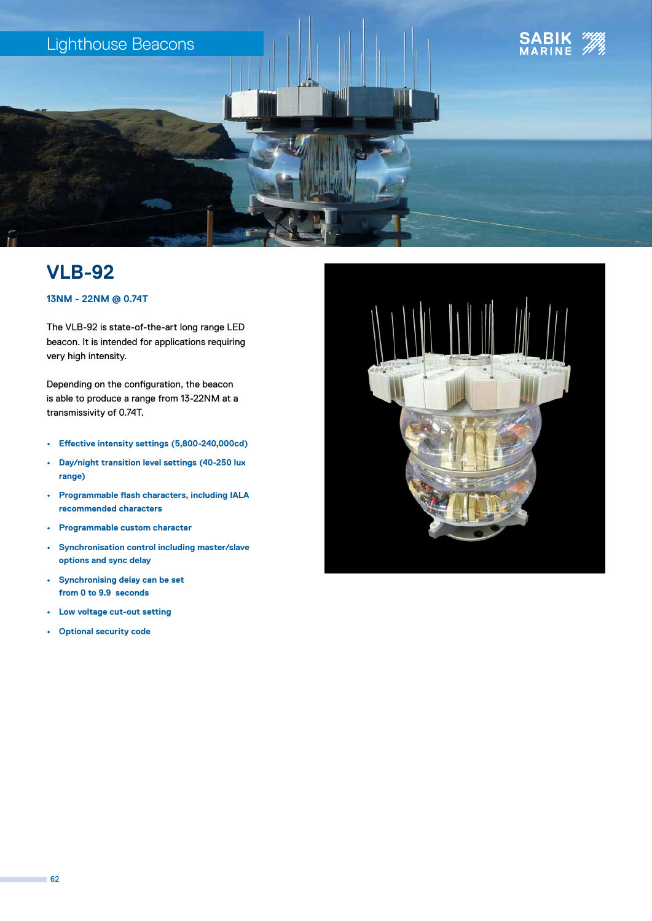

## **VLB-92**

### **13NM - 22NM @ 0.74T**

The VLB-92 is state-of-the-art long range LED beacon. It is intended for applications requiring very high intensity.

Depending on the configuration, the beacon is able to produce a range from 13-22NM at a transmissivity of 0.74T.

- **• Effective intensity settings (5,800-240,000cd)**
- **• Day/night transition level settings (40-250 lux range)**
- **• Programmable flash characters, including IALA recommended characters**
- **• Programmable custom character**
- **• Synchronisation control including master/slave options and sync delay**
- **• Synchronising delay can be set from 0 to 9.9 seconds**
- **• Low voltage cut-out setting**
- **• Optional security code**